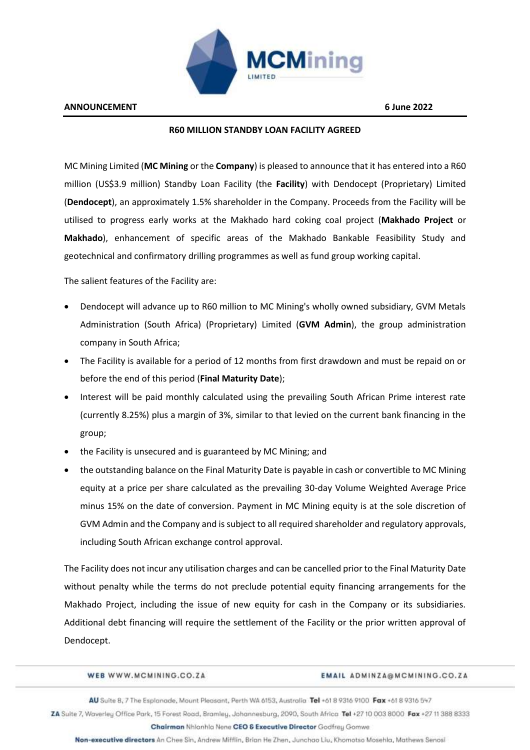

## **R60 MILLION STANDBY LOAN FACILITY AGREED**

MC Mining Limited (**MC Mining** or the **Company**) is pleased to announce that it has entered into a R60 million (US\$3.9 million) Standby Loan Facility (the **Facility**) with Dendocept (Proprietary) Limited (**Dendocept**), an approximately 1.5% shareholder in the Company. Proceeds from the Facility will be utilised to progress early works at the Makhado hard coking coal project (**Makhado Project** or **Makhado**), enhancement of specific areas of the Makhado Bankable Feasibility Study and geotechnical and confirmatory drilling programmes as well as fund group working capital.

The salient features of the Facility are:

- Dendocept will advance up to R60 million to MC Mining's wholly owned subsidiary, GVM Metals Administration (South Africa) (Proprietary) Limited (**GVM Admin**), the group administration company in South Africa;
- The Facility is available for a period of 12 months from first drawdown and must be repaid on or before the end of this period (**Final Maturity Date**);
- Interest will be paid monthly calculated using the prevailing South African Prime interest rate (currently 8.25%) plus a margin of 3%, similar to that levied on the current bank financing in the group;
- the Facility is unsecured and is guaranteed by MC Mining; and
- the outstanding balance on the Final Maturity Date is payable in cash or convertible to MC Mining equity at a price per share calculated as the prevailing 30-day Volume Weighted Average Price minus 15% on the date of conversion. Payment in MC Mining equity is at the sole discretion of GVM Admin and the Company and is subject to all required shareholder and regulatory approvals, including South African exchange control approval.

The Facility does not incur any utilisation charges and can be cancelled prior to the Final Maturity Date without penalty while the terms do not preclude potential equity financing arrangements for the Makhado Project, including the issue of new equity for cash in the Company or its subsidiaries. Additional debt financing will require the settlement of the Facility or the prior written approval of Dendocept.

WEB WWW.MCMINING.CO.ZA

EMAIL ADMINZA@MCMINING.CO.ZA

AU Suite 8, 7 The Esplanade, Mount Pleasant, Perth WA 6153, Australia Tel +61 8 9316 9100 Fax +61 8 9316 547

ZA Suite 7, Waverley Office Park, 15 Forest Road, Bramley, Johannesburg, 2090, South Africa Tel +27 10 003 8000 Fax +27 11 388 8333 Chairman Nhlanhla Nene CEO & Executive Director Godfrey Gomwe

Non-executive directors An Chee Sin, Andrew Mifflin, Brian He Zhen, Junchao Liu, Khomotso Mosehia, Mathews Senosi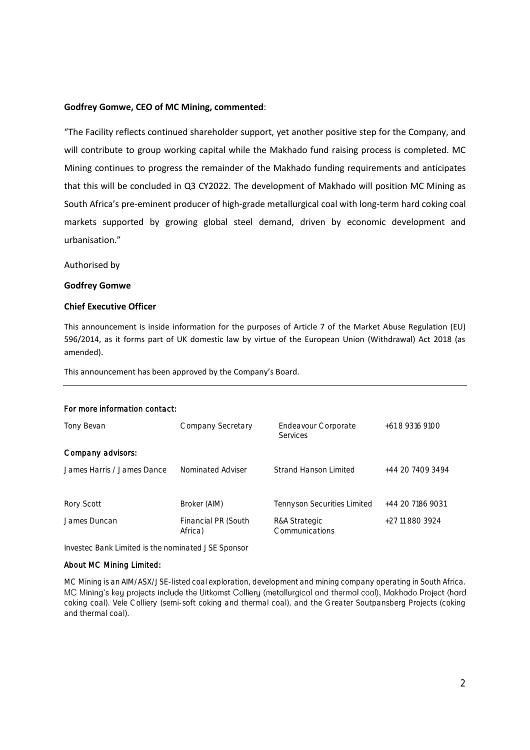## **Godfrey Gomwe, CEO of MC Mining, commented**:

"The Facility reflects continued shareholder support, yet another positive step for the Company, and will contribute to group working capital while the Makhado fund raising process is completed. MC Mining continues to progress the remainder of the Makhado funding requirements and anticipates that this will be concluded in Q3 CY2022. The development of Makhado will position MC Mining as South Africa's pre-eminent producer of high-grade metallurgical coal with long-term hard coking coal markets supported by growing global steel demand, driven by economic development and urbanisation."

Authorised by

#### **Godfrey Gomwe**

## **Chief Executive Officer**

This announcement is inside information for the purposes of Article 7 of the Market Abuse Regulation (EU) 596/2014, as it forms part of UK domestic law by virtue of the European Union (Withdrawal) Act 2018 (as amended).

This announcement has been approved by the Company's Board.

#### For more information contact:

| Tony Bevan                 | Company Secretary              | Endeavour Corporate<br><b>Services</b> | +61 8 9316 9100  |
|----------------------------|--------------------------------|----------------------------------------|------------------|
| Company advisors:          |                                |                                        |                  |
| James Harris / James Dance | Nominated Adviser              | Strand Hanson Limited                  | +44 20 7409 3494 |
| Rory Scott                 | Broker (AIM)                   | Tennyson Securities Limited            | +44 20 7186 9031 |
| James Duncan               | Financial PR (South<br>Africa) | R&A Strategic<br>Communications        | +27 11 880 3924  |

Investec Bank Limited is the nominated JSE Sponsor

#### About MC Mining Limited:

MC Mining is an AIM/ASX/JSE-listed coal exploration, development and mining company operating in South Africa. MC Mining's key projects include the Uitkomst Colliery (metallurgical and thermal coal), Makhado Project (hard coking coal). Vele Colliery (semi-soft coking and thermal coal), and the Greater Soutpansberg Projects (coking and thermal coal).